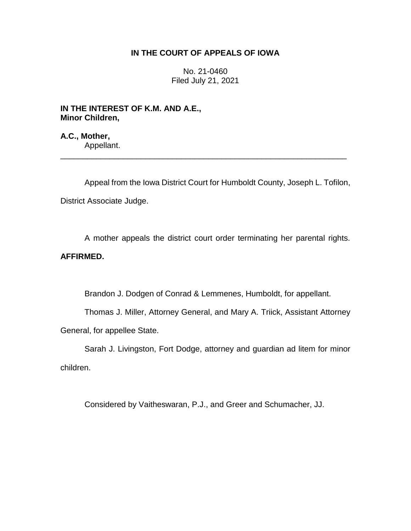# **IN THE COURT OF APPEALS OF IOWA**

No. 21-0460 Filed July 21, 2021

**IN THE INTEREST OF K.M. AND A.E., Minor Children,**

**A.C., Mother,** Appellant.

Appeal from the Iowa District Court for Humboldt County, Joseph L. Tofilon, District Associate Judge.

\_\_\_\_\_\_\_\_\_\_\_\_\_\_\_\_\_\_\_\_\_\_\_\_\_\_\_\_\_\_\_\_\_\_\_\_\_\_\_\_\_\_\_\_\_\_\_\_\_\_\_\_\_\_\_\_\_\_\_\_\_\_\_\_

A mother appeals the district court order terminating her parental rights.

# **AFFIRMED.**

Brandon J. Dodgen of Conrad & Lemmenes, Humboldt, for appellant.

Thomas J. Miller, Attorney General, and Mary A. Triick, Assistant Attorney General, for appellee State.

Sarah J. Livingston, Fort Dodge, attorney and guardian ad litem for minor children.

Considered by Vaitheswaran, P.J., and Greer and Schumacher, JJ.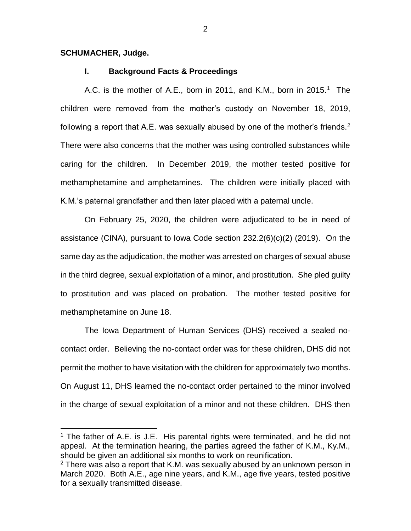#### **SCHUMACHER, Judge.**

 $\overline{a}$ 

## **I. Background Facts & Proceedings**

A.C. is the mother of A.E., born in 2011, and K.M., born in 2015.<sup>1</sup> The children were removed from the mother's custody on November 18, 2019, following a report that A.E. was sexually abused by one of the mother's friends.<sup>2</sup> There were also concerns that the mother was using controlled substances while caring for the children. In December 2019, the mother tested positive for methamphetamine and amphetamines. The children were initially placed with K.M.'s paternal grandfather and then later placed with a paternal uncle.

On February 25, 2020, the children were adjudicated to be in need of assistance (CINA), pursuant to Iowa Code section 232.2(6)(c)(2) (2019). On the same day as the adjudication, the mother was arrested on charges of sexual abuse in the third degree, sexual exploitation of a minor, and prostitution. She pled guilty to prostitution and was placed on probation. The mother tested positive for methamphetamine on June 18.

The Iowa Department of Human Services (DHS) received a sealed nocontact order. Believing the no-contact order was for these children, DHS did not permit the mother to have visitation with the children for approximately two months. On August 11, DHS learned the no-contact order pertained to the minor involved in the charge of sexual exploitation of a minor and not these children. DHS then

<sup>&</sup>lt;sup>1</sup> The father of A.E. is J.E. His parental rights were terminated, and he did not appeal. At the termination hearing, the parties agreed the father of K.M., Ky.M., should be given an additional six months to work on reunification.

 $2$  There was also a report that K.M. was sexually abused by an unknown person in March 2020. Both A.E., age nine years, and K.M., age five years, tested positive for a sexually transmitted disease.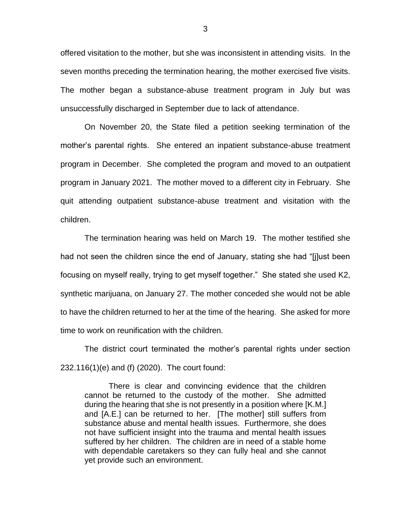offered visitation to the mother, but she was inconsistent in attending visits. In the seven months preceding the termination hearing, the mother exercised five visits. The mother began a substance-abuse treatment program in July but was unsuccessfully discharged in September due to lack of attendance.

On November 20, the State filed a petition seeking termination of the mother's parental rights. She entered an inpatient substance-abuse treatment program in December. She completed the program and moved to an outpatient program in January 2021. The mother moved to a different city in February. She quit attending outpatient substance-abuse treatment and visitation with the children.

The termination hearing was held on March 19. The mother testified she had not seen the children since the end of January, stating she had "[j]ust been focusing on myself really, trying to get myself together." She stated she used K2, synthetic marijuana, on January 27. The mother conceded she would not be able to have the children returned to her at the time of the hearing. She asked for more time to work on reunification with the children.

The district court terminated the mother's parental rights under section 232.116(1)(e) and (f) (2020). The court found:

There is clear and convincing evidence that the children cannot be returned to the custody of the mother. She admitted during the hearing that she is not presently in a position where [K.M.] and [A.E.] can be returned to her. [The mother] still suffers from substance abuse and mental health issues. Furthermore, she does not have sufficient insight into the trauma and mental health issues suffered by her children. The children are in need of a stable home with dependable caretakers so they can fully heal and she cannot yet provide such an environment.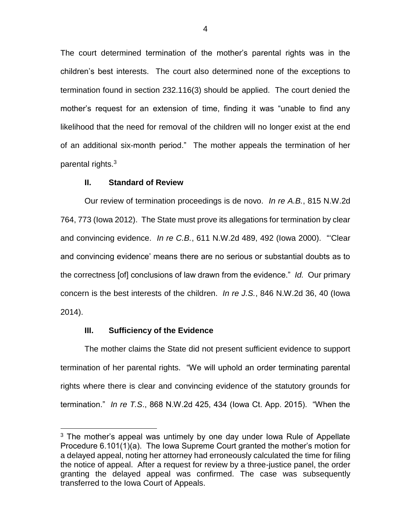The court determined termination of the mother's parental rights was in the children's best interests. The court also determined none of the exceptions to termination found in section 232.116(3) should be applied. The court denied the mother's request for an extension of time, finding it was "unable to find any likelihood that the need for removal of the children will no longer exist at the end of an additional six-month period." The mother appeals the termination of her parental rights.<sup>3</sup>

### **II. Standard of Review**

Our review of termination proceedings is de novo. *In re A.B.*, 815 N.W.2d 764, 773 (Iowa 2012). The State must prove its allegations for termination by clear and convincing evidence. *In re C.B.*, 611 N.W.2d 489, 492 (Iowa 2000). "'Clear and convincing evidence' means there are no serious or substantial doubts as to the correctness [of] conclusions of law drawn from the evidence." *Id.* Our primary concern is the best interests of the children. *In re J.S.*, 846 N.W.2d 36, 40 (Iowa 2014).

## **III. Sufficiency of the Evidence**

 $\overline{a}$ 

The mother claims the State did not present sufficient evidence to support termination of her parental rights. "We will uphold an order terminating parental rights where there is clear and convincing evidence of the statutory grounds for termination." *In re T.S*., 868 N.W.2d 425, 434 (Iowa Ct. App. 2015). "When the

<sup>&</sup>lt;sup>3</sup> The mother's appeal was untimely by one day under lowa Rule of Appellate Procedure 6.101(1)(a). The Iowa Supreme Court granted the mother's motion for a delayed appeal, noting her attorney had erroneously calculated the time for filing the notice of appeal. After a request for review by a three-justice panel, the order granting the delayed appeal was confirmed. The case was subsequently transferred to the Iowa Court of Appeals.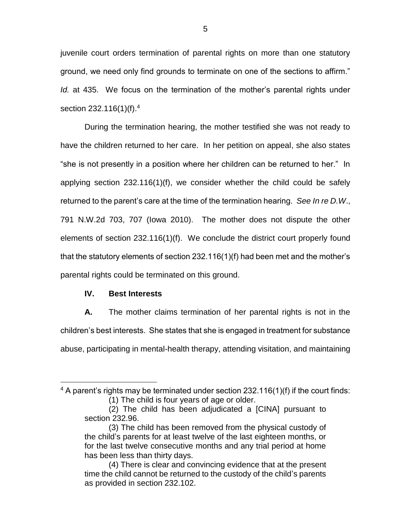juvenile court orders termination of parental rights on more than one statutory ground, we need only find grounds to terminate on one of the sections to affirm." *Id.* at 435. We focus on the termination of the mother's parental rights under section 232.116(1)(f).<sup>4</sup>

During the termination hearing, the mother testified she was not ready to have the children returned to her care. In her petition on appeal, she also states "she is not presently in a position where her children can be returned to her." In applying section 232.116(1)(f), we consider whether the child could be safely returned to the parent's care at the time of the termination hearing. *See In re D.W*., 791 N.W.2d 703, 707 (Iowa 2010). The mother does not dispute the other elements of section 232.116(1)(f). We conclude the district court properly found that the statutory elements of section 232.116(1)(f) had been met and the mother's parental rights could be terminated on this ground.

#### **IV. Best Interests**

 $\overline{a}$ 

**A.** The mother claims termination of her parental rights is not in the children's best interests. She states that she is engaged in treatment for substance abuse, participating in mental-health therapy, attending visitation, and maintaining

 $4$  A parent's rights may be terminated under section 232.116(1)(f) if the court finds: (1) The child is four years of age or older.

<sup>(2)</sup> The child has been adjudicated a [CINA] pursuant to section 232.96.

<sup>(3)</sup> The child has been removed from the physical custody of the child's parents for at least twelve of the last eighteen months, or for the last twelve consecutive months and any trial period at home has been less than thirty days.

<sup>(4)</sup> There is clear and convincing evidence that at the present time the child cannot be returned to the custody of the child's parents as provided in section 232.102.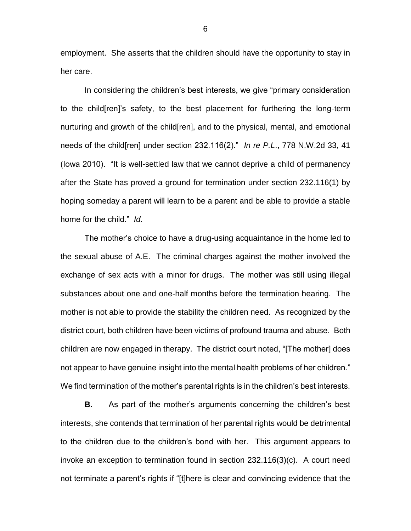employment. She asserts that the children should have the opportunity to stay in her care.

In considering the children's best interests, we give "primary consideration to the child[ren]'s safety, to the best placement for furthering the long-term nurturing and growth of the child[ren], and to the physical, mental, and emotional needs of the child[ren] under section 232.116(2)." *In re P.L*., 778 N.W.2d 33, 41 (Iowa 2010). "It is well-settled law that we cannot deprive a child of permanency after the State has proved a ground for termination under section 232.116(1) by hoping someday a parent will learn to be a parent and be able to provide a stable home for the child." *Id.*

The mother's choice to have a drug-using acquaintance in the home led to the sexual abuse of A.E. The criminal charges against the mother involved the exchange of sex acts with a minor for drugs. The mother was still using illegal substances about one and one-half months before the termination hearing. The mother is not able to provide the stability the children need. As recognized by the district court, both children have been victims of profound trauma and abuse. Both children are now engaged in therapy. The district court noted, "[The mother] does not appear to have genuine insight into the mental health problems of her children." We find termination of the mother's parental rights is in the children's best interests.

**B.** As part of the mother's arguments concerning the children's best interests, she contends that termination of her parental rights would be detrimental to the children due to the children's bond with her. This argument appears to invoke an exception to termination found in section 232.116(3)(c). A court need not terminate a parent's rights if "[t]here is clear and convincing evidence that the

6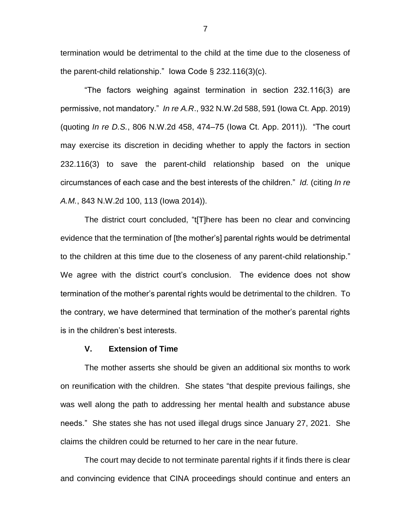termination would be detrimental to the child at the time due to the closeness of the parent-child relationship." Iowa Code § 232.116(3)(c).

"The factors weighing against termination in section 232.116(3) are permissive, not mandatory." *In re A.R*., 932 N.W.2d 588, 591 (Iowa Ct. App. 2019) (quoting *In re D.S.*, 806 N.W.2d 458, 474–75 (Iowa Ct. App. 2011)). "The court may exercise its discretion in deciding whether to apply the factors in section 232.116(3) to save the parent-child relationship based on the unique circumstances of each case and the best interests of the children." *Id.* (citing *In re A.M.*, 843 N.W.2d 100, 113 (Iowa 2014)).

The district court concluded, "t[T]here has been no clear and convincing evidence that the termination of [the mother's] parental rights would be detrimental to the children at this time due to the closeness of any parent-child relationship." We agree with the district court's conclusion. The evidence does not show termination of the mother's parental rights would be detrimental to the children. To the contrary, we have determined that termination of the mother's parental rights is in the children's best interests.

#### **V. Extension of Time**

The mother asserts she should be given an additional six months to work on reunification with the children. She states "that despite previous failings, she was well along the path to addressing her mental health and substance abuse needs." She states she has not used illegal drugs since January 27, 2021. She claims the children could be returned to her care in the near future.

The court may decide to not terminate parental rights if it finds there is clear and convincing evidence that CINA proceedings should continue and enters an

7